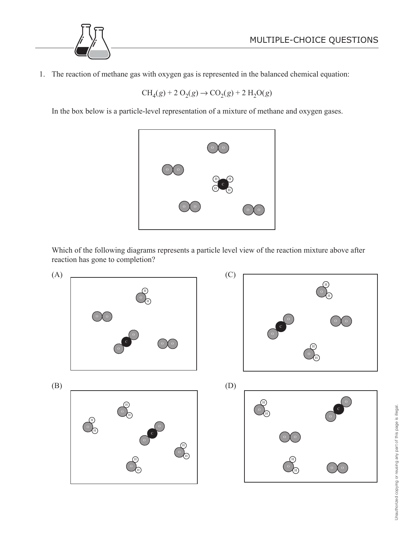

1. The reaction of methane gas with oxygen gas is represented in the balanced chemical equation:

 $CH_4(g) + 2 O_2(g) \rightarrow CO_2(g) + 2 H_2O(g)$ 

In the box below is a particle-level representation of a mixture of methane and oxygen gases.



 Which of the following diagrams represents a particle level view of the reaction mixture above after reaction has gone to completion?



Unauthorized copying or reusing any part of this page is illegal Unauthorized copying or reusing any part of this page is illegal.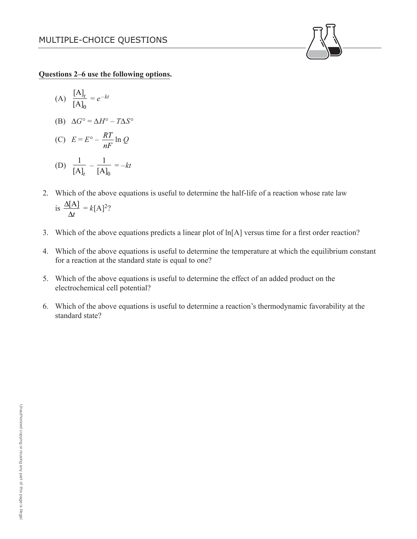**Questions 2–6 use the following options.**

(A) 
$$
\frac{[A]_t}{[A]_0} = e^{-kt}
$$

(B) 
$$
\Delta G^{\circ} = \Delta H^{\circ} - T \Delta S^{\circ}
$$

$$
(C) \tE = E^{\circ} - \frac{RT}{nF} \ln Q
$$

(D) 
$$
\frac{1}{[A]_t} - \frac{1}{[A]_0} = -kt
$$

- 2. Which of the above equations is useful to determine the half-life of a reaction whose rate law is  $\frac{\Delta[A]}{A}$ *t*  $\Delta$  $\Delta$  $= k[A]^2?$
- 3. Which of the above equations predicts a linear plot of ln[A] versus time for a first order reaction?
- 4. Which of the above equations is useful to determine the temperature at which the equilibrium constant for a reaction at the standard state is equal to one?
- 5. Which of the above equations is useful to determine the effect of an added product on the electrochemical cell potential?
- 6. Which of the above equations is useful to determine a reaction's thermodynamic favorability at the standard state?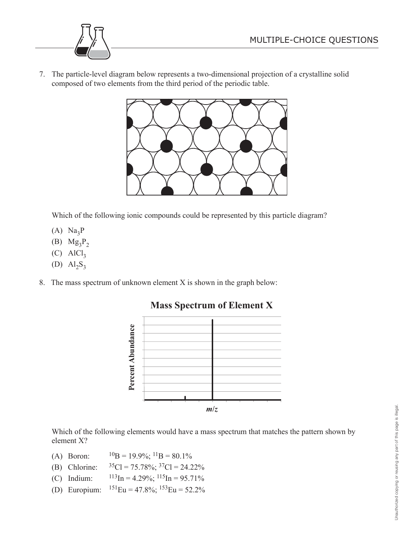

7. The particle-level diagram below represents a two-dimensional projection of a crystalline solid composed of two elements from the third period of the periodic table.



Which of the following ionic compounds could be represented by this particle diagram?

- $(A)$  Na<sub>3</sub>P
- (B)  $Mg_3P_2$
- $(C)$  AlCl<sub>3</sub>
- (D)  $Al_2S_3$
- 8. The mass spectrum of unknown element X is shown in the graph below:



## **Mass Spectrum of Element X**

 Which of the following elements would have a mass spectrum that matches the pattern shown by element X?

- (A) Boron:  ${}^{10}B = 19.9\%$ ;  ${}^{11}B = 80.1\%$
- (B) Chlorine:  ${}^{35}Cl = 75.78\%; {}^{37}Cl = 24.22\%$
- (C) Indium:  $113 \text{In} = 4.29\%$ ;  $115 \text{In} = 95.71\%$
- (D) Europium:  $^{151}$ Eu = 47.8%;  $^{153}$ Eu = 52.2%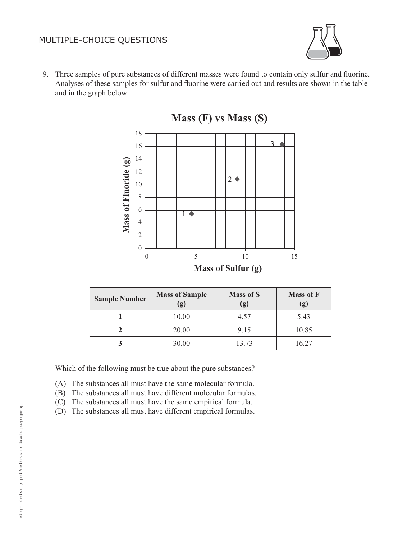9. Three samples of pure substances of different masses were found to contain only sulfur and fluorine. Analyses of these samples for sulfur and fluorine were carried out and results are shown in the table and in the graph below:





| <b>Sample Number</b> | <b>Mass of Sample</b><br>(g) | <b>Mass of S</b><br>(g) | <b>Mass of F</b><br>(g) |
|----------------------|------------------------------|-------------------------|-------------------------|
|                      | 10.00                        | 4.57                    | 5.43                    |
|                      | 20.00                        | 9.15                    | 10.85                   |
|                      | 30.00                        | 13.73                   | 16 27                   |

Which of the following must be true about the pure substances?

- (A) The substances all must have the same molecular formula.
- (B) The substances all must have different molecular formulas.
- (C) The substances all must have the same empirical formula.
- (D) The substances all must have different empirical formulas.